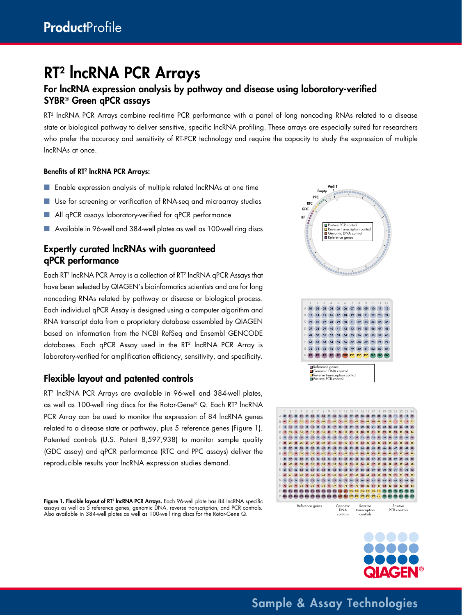# RT2 lncRNA PCR Arrays

### For lncRNA expression analysis by pathway and disease using laboratory-verified SYBR® Green qPCR assays

RT2 lncRNA PCR Arrays combine real-time PCR performance with a panel of long noncoding RNAs related to a disease state or biological pathway to deliver sensitive, specific lncRNA profiling. These arrays are especially suited for researchers who prefer the accuracy and sensitivity of RT-PCR technology and require the capacity to study the expression of multiple lncRNAs at once.

#### Benefits of RT2 lncRNA PCR Arrays:

- Enable expression analysis of multiple related lncRNAs at one time
- Use for screening or verification of RNA-seq and microarray studies
- All qPCR assays laboratory-verified for qPCR performance
- Available in 96-well and 384-well plates as well as 100-well ring discs

#### Expertly curated lncRNAs with guaranteed qPCR performance

Each RT2 lncRNA PCR Array is a collection of RT2 lncRNA qPCR Assays that have been selected by QIAGEN's bioinformatics scientists and are for long noncoding RNAs related by pathway or disease or biological process. Each individual qPCR Assay is designed using a computer algorithm and RNA transcript data from a proprietary database assembled by QIAGEN based on information from the NCBI RefSeq and Ensembl GENCODE databases. Each qPCR Assay used in the RT<sup>2</sup> lncRNA PCR Array is laboratory-verified for amplification efficiency, sensitivity, and specificity.

#### Flexible layout and patented controls

RT<sup>2</sup> IncRNA PCR Arrays are available in 96-well and 384-well plates, as well as 100-well ring discs for the Rotor-Gene® Q. Each RT2 lncRNA PCR Array can be used to monitor the expression of 84 IncRNA genes related to a disease state or pathway, plus 5 reference genes (Figure 1). Patented controls (U.S. Patent 8,597,938) to monitor sample quality (GDC assay) and qPCR performance (RTC and PPC assays) deliver the reproducible results your lncRNA expression studies demand.

**Figure 1. Flexible layout of RT<sup>2</sup> IncRNA PCR Arrays.** Each 96-well plate has 84 IncRNA specific assays as well as 5 reference genes, genomic DNA, reverse transcription, and PCR controls. Also available in 384-well plates as well as 100-well ring discs for the Rotor-Gene Q.





Sample & Assay Technologies